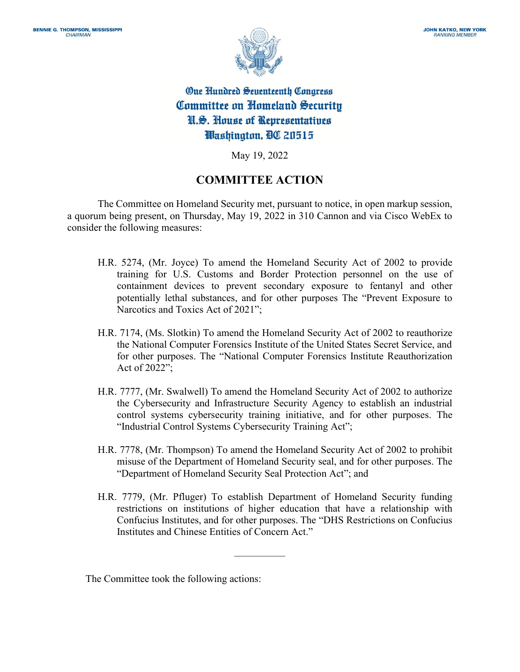

**One Hundred Seventeenth Congress** Committee on Homeland Security N.S. House of Representatives Washington, OC 20515

May 19, 2022

## **COMMITTEE ACTION**

The Committee on Homeland Security met, pursuant to notice, in open markup session, a quorum being present, on Thursday, May 19, 2022 in 310 Cannon and via Cisco WebEx to consider the following measures:

- H.R. 5274, (Mr. Joyce) To amend the Homeland Security Act of 2002 to provide training for U.S. Customs and Border Protection personnel on the use of containment devices to prevent secondary exposure to fentanyl and other potentially lethal substances, and for other purposes The "Prevent Exposure to Narcotics and Toxics Act of 2021";
- H.R. 7174, (Ms. Slotkin) To amend the Homeland Security Act of 2002 to reauthorize the National Computer Forensics Institute of the United States Secret Service, and for other purposes. The "National Computer Forensics Institute Reauthorization Act of 2022";
- H.R. 7777, (Mr. Swalwell) To amend the Homeland Security Act of 2002 to authorize the Cybersecurity and Infrastructure Security Agency to establish an industrial control systems cybersecurity training initiative, and for other purposes. The "Industrial Control Systems Cybersecurity Training Act";
- H.R. 7778, (Mr. Thompson) To amend the Homeland Security Act of 2002 to prohibit misuse of the Department of Homeland Security seal, and for other purposes. The "Department of Homeland Security Seal Protection Act"; and
- H.R. 7779, (Mr. Pfluger) To establish Department of Homeland Security funding restrictions on institutions of higher education that have a relationship with Confucius Institutes, and for other purposes. The "DHS Restrictions on Confucius Institutes and Chinese Entities of Concern Act."

—————

The Committee took the following actions: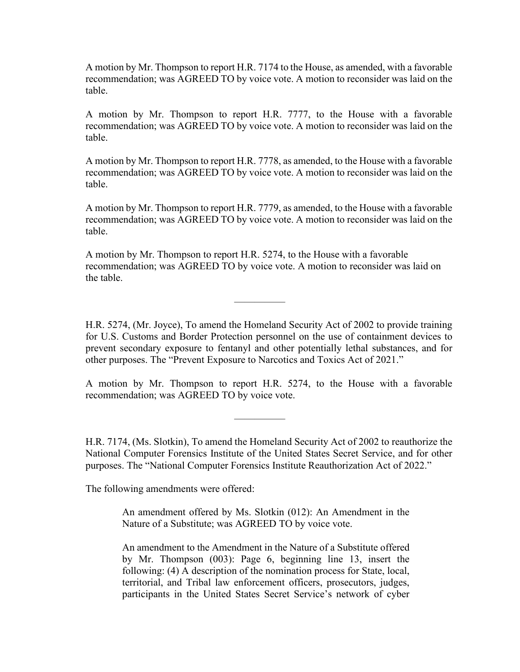A motion by Mr. Thompson to report H.R. 7174 to the House, as amended, with a favorable recommendation; was AGREED TO by voice vote. A motion to reconsider was laid on the table.

A motion by Mr. Thompson to report H.R. 7777, to the House with a favorable recommendation; was AGREED TO by voice vote. A motion to reconsider was laid on the table.

A motion by Mr. Thompson to report H.R. 7778, as amended, to the House with a favorable recommendation; was AGREED TO by voice vote. A motion to reconsider was laid on the table.

A motion by Mr. Thompson to report H.R. 7779, as amended, to the House with a favorable recommendation; was AGREED TO by voice vote. A motion to reconsider was laid on the table.

A motion by Mr. Thompson to report H.R. 5274, to the House with a favorable recommendation; was AGREED TO by voice vote. A motion to reconsider was laid on the table.

—————

H.R. 5274, (Mr. Joyce), To amend the Homeland Security Act of 2002 to provide training for U.S. Customs and Border Protection personnel on the use of containment devices to prevent secondary exposure to fentanyl and other potentially lethal substances, and for other purposes. The "Prevent Exposure to Narcotics and Toxics Act of 2021."

A motion by Mr. Thompson to report H.R. 5274, to the House with a favorable recommendation; was AGREED TO by voice vote.

—————

H.R. 7174, (Ms. Slotkin), To amend the Homeland Security Act of 2002 to reauthorize the National Computer Forensics Institute of the United States Secret Service, and for other purposes. The "National Computer Forensics Institute Reauthorization Act of 2022."

The following amendments were offered:

An amendment offered by Ms. Slotkin (012): An Amendment in the Nature of a Substitute; was AGREED TO by voice vote.

An amendment to the Amendment in the Nature of a Substitute offered by Mr. Thompson (003): Page 6, beginning line 13, insert the following: (4) A description of the nomination process for State, local, territorial, and Tribal law enforcement officers, prosecutors, judges, participants in the United States Secret Service's network of cyber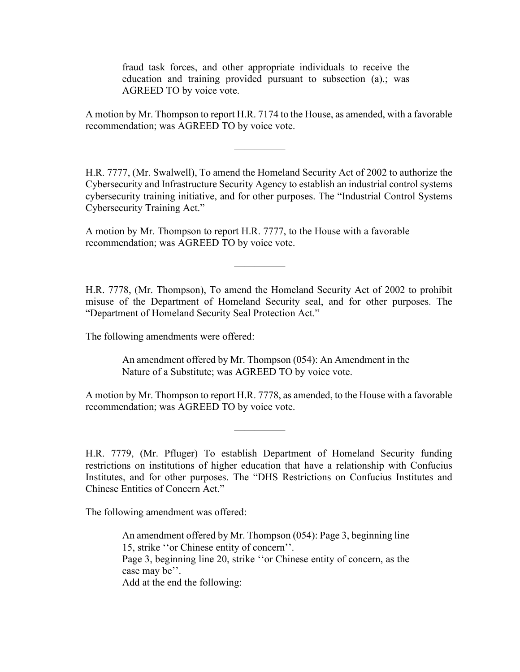fraud task forces, and other appropriate individuals to receive the education and training provided pursuant to subsection (a).; was AGREED TO by voice vote.

A motion by Mr. Thompson to report H.R. 7174 to the House, as amended, with a favorable recommendation; was AGREED TO by voice vote.

—————

H.R. 7777, (Mr. Swalwell), To amend the Homeland Security Act of 2002 to authorize the Cybersecurity and Infrastructure Security Agency to establish an industrial control systems cybersecurity training initiative, and for other purposes. The "Industrial Control Systems Cybersecurity Training Act."

A motion by Mr. Thompson to report H.R. 7777, to the House with a favorable recommendation; was AGREED TO by voice vote.

H.R. 7778, (Mr. Thompson), To amend the Homeland Security Act of 2002 to prohibit misuse of the Department of Homeland Security seal, and for other purposes. The "Department of Homeland Security Seal Protection Act."

—————

The following amendments were offered:

An amendment offered by Mr. Thompson (054): An Amendment in the Nature of a Substitute; was AGREED TO by voice vote.

A motion by Mr. Thompson to report H.R. 7778, as amended, to the House with a favorable recommendation; was AGREED TO by voice vote.

—————

H.R. 7779, (Mr. Pfluger) To establish Department of Homeland Security funding restrictions on institutions of higher education that have a relationship with Confucius Institutes, and for other purposes. The "DHS Restrictions on Confucius Institutes and Chinese Entities of Concern Act."

The following amendment was offered:

An amendment offered by Mr. Thompson (054): Page 3, beginning line 15, strike ''or Chinese entity of concern''. Page 3, beginning line 20, strike ''or Chinese entity of concern, as the case may be''. Add at the end the following: